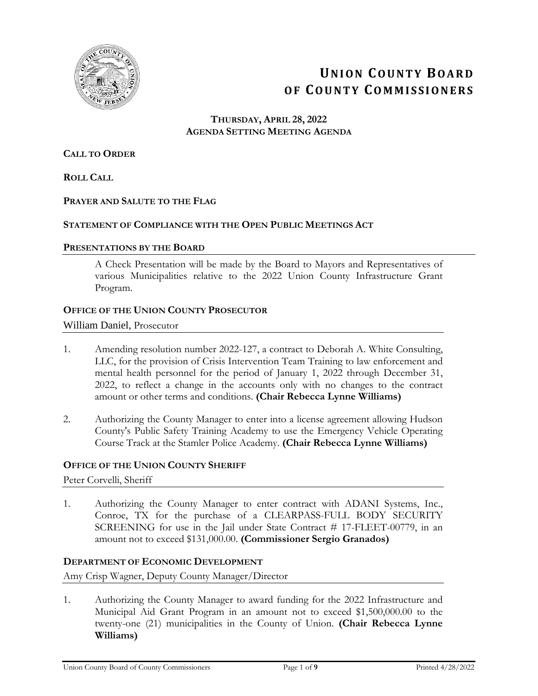

# **UNION COUNTY BOARD OF COUNTY COMMISSIONERS**

#### **THURSDAY, APRIL 28, 2022 AGENDA SETTING MEETING AGENDA**

#### **CALL TO ORDER**

**ROLL CALL**

#### **PRAYER AND SALUTE TO THE FLAG**

#### **STATEMENT OF COMPLIANCE WITH THE OPEN PUBLIC MEETINGS ACT**

#### **PRESENTATIONS BY THE BOARD**

A Check Presentation will be made by the Board to Mayors and Representatives of various Municipalities relative to the 2022 Union County Infrastructure Grant Program.

#### **OFFICE OF THE UNION COUNTY PROSECUTOR**

#### William Daniel, Prosecutor

- 1. Amending resolution number 2022-127, a contract to Deborah A. White Consulting, LLC, for the provision of Crisis Intervention Team Training to law enforcement and mental health personnel for the period of January 1, 2022 through December 31, 2022, to reflect a change in the accounts only with no changes to the contract amount or other terms and conditions. **(Chair Rebecca Lynne Williams)**
- 2. Authorizing the County Manager to enter into a license agreement allowing Hudson County's Public Safety Training Academy to use the Emergency Vehicle Operating Course Track at the Stamler Police Academy. **(Chair Rebecca Lynne Williams)**

#### **OFFICE OF THE UNION COUNTY SHERIFF**

Peter Corvelli, Sheriff

1. Authorizing the County Manager to enter contract with ADANI Systems, Inc., Conroe, TX for the purchase of a CLEARPASS-FULL BODY SECURITY SCREENING for use in the Jail under State Contract # 17-FLEET-00779, in an amount not to exceed \$131,000.00. **(Commissioner Sergio Granados)**

#### **DEPARTMENT OF ECONOMIC DEVELOPMENT**

Amy Crisp Wagner, Deputy County Manager/Director

1. Authorizing the County Manager to award funding for the 2022 Infrastructure and Municipal Aid Grant Program in an amount not to exceed \$1,500,000.00 to the twenty-one (21) municipalities in the County of Union. **(Chair Rebecca Lynne Williams)**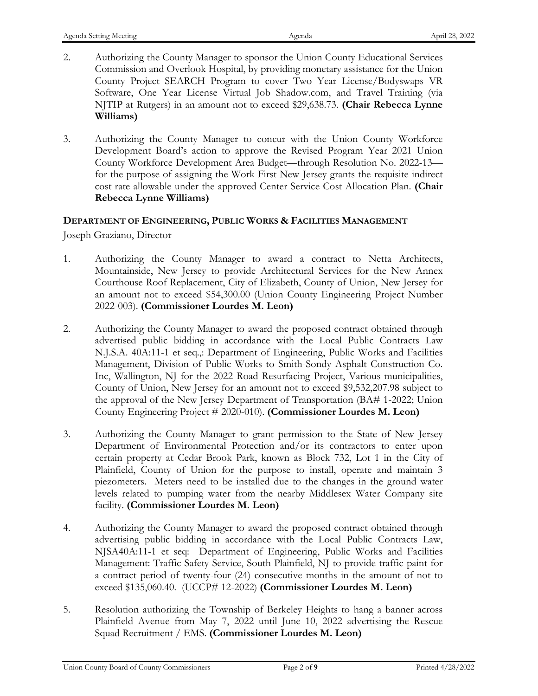- 2. Authorizing the County Manager to sponsor the Union County Educational Services Commission and Overlook Hospital, by providing monetary assistance for the Union County Project SEARCH Program to cover Two Year License/Bodyswaps VR Software, One Year License Virtual Job Shadow.com, and Travel Training (via NJTIP at Rutgers) in an amount not to exceed \$29,638.73. **(Chair Rebecca Lynne Williams)**
- 3. Authorizing the County Manager to concur with the Union County Workforce Development Board's action to approve the Revised Program Year 2021 Union County Workforce Development Area Budget—through Resolution No. 2022-13 for the purpose of assigning the Work First New Jersey grants the requisite indirect cost rate allowable under the approved Center Service Cost Allocation Plan. **(Chair Rebecca Lynne Williams)**

## **DEPARTMENT OF ENGINEERING, PUBLIC WORKS & FACILITIES MANAGEMENT** Joseph Graziano, Director

- 1. Authorizing the County Manager to award a contract to Netta Architects, Mountainside, New Jersey to provide Architectural Services for the New Annex Courthouse Roof Replacement, City of Elizabeth, County of Union, New Jersey for an amount not to exceed \$54,300.00 (Union County Engineering Project Number 2022-003). **(Commissioner Lourdes M. Leon)**
- 2. Authorizing the County Manager to award the proposed contract obtained through advertised public bidding in accordance with the Local Public Contracts Law N.J.S.A. 40A:11-1 et seq.,: Department of Engineering, Public Works and Facilities Management, Division of Public Works to Smith-Sondy Asphalt Construction Co. Inc, Wallington, NJ for the 2022 Road Resurfacing Project, Various municipalities, County of Union, New Jersey for an amount not to exceed \$9,532,207.98 subject to the approval of the New Jersey Department of Transportation (BA# 1-2022; Union County Engineering Project # 2020-010). **(Commissioner Lourdes M. Leon)**
- 3. Authorizing the County Manager to grant permission to the State of New Jersey Department of Environmental Protection and/or its contractors to enter upon certain property at Cedar Brook Park, known as Block 732, Lot 1 in the City of Plainfield, County of Union for the purpose to install, operate and maintain 3 piezometers. Meters need to be installed due to the changes in the ground water levels related to pumping water from the nearby Middlesex Water Company site facility. **(Commissioner Lourdes M. Leon)**
- 4. Authorizing the County Manager to award the proposed contract obtained through advertising public bidding in accordance with the Local Public Contracts Law, NJSA40A:11-1 et seq: Department of Engineering, Public Works and Facilities Management: Traffic Safety Service, South Plainfield, NJ to provide traffic paint for a contract period of twenty-four (24) consecutive months in the amount of not to exceed \$135,060.40. (UCCP# 12-2022) **(Commissioner Lourdes M. Leon)**
- 5. Resolution authorizing the Township of Berkeley Heights to hang a banner across Plainfield Avenue from May 7, 2022 until June 10, 2022 advertising the Rescue Squad Recruitment / EMS. **(Commissioner Lourdes M. Leon)**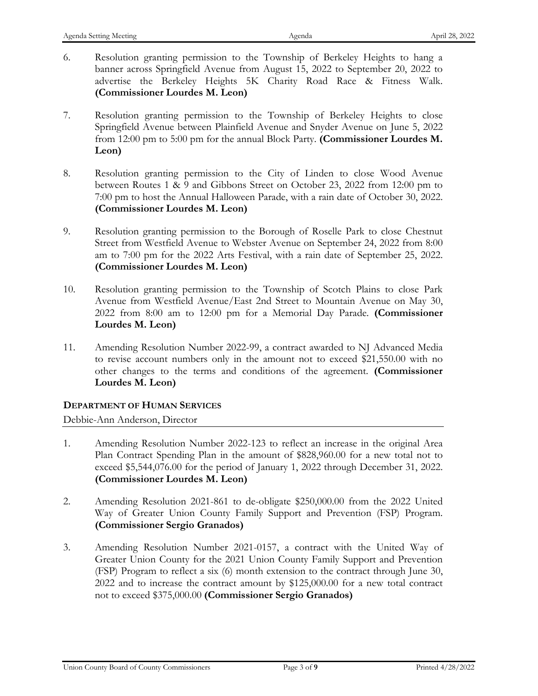- 6. Resolution granting permission to the Township of Berkeley Heights to hang a banner across Springfield Avenue from August 15, 2022 to September 20, 2022 to advertise the Berkeley Heights 5K Charity Road Race & Fitness Walk. **(Commissioner Lourdes M. Leon)**
- 7. Resolution granting permission to the Township of Berkeley Heights to close Springfield Avenue between Plainfield Avenue and Snyder Avenue on June 5, 2022 from 12:00 pm to 5:00 pm for the annual Block Party. **(Commissioner Lourdes M. Leon)**
- 8. Resolution granting permission to the City of Linden to close Wood Avenue between Routes 1 & 9 and Gibbons Street on October 23, 2022 from 12:00 pm to 7:00 pm to host the Annual Halloween Parade, with a rain date of October 30, 2022. **(Commissioner Lourdes M. Leon)**
- 9. Resolution granting permission to the Borough of Roselle Park to close Chestnut Street from Westfield Avenue to Webster Avenue on September 24, 2022 from 8:00 am to 7:00 pm for the 2022 Arts Festival, with a rain date of September 25, 2022. **(Commissioner Lourdes M. Leon)**
- 10. Resolution granting permission to the Township of Scotch Plains to close Park Avenue from Westfield Avenue/East 2nd Street to Mountain Avenue on May 30, 2022 from 8:00 am to 12:00 pm for a Memorial Day Parade. **(Commissioner Lourdes M. Leon)**
- 11. Amending Resolution Number 2022-99, a contract awarded to NJ Advanced Media to revise account numbers only in the amount not to exceed \$21,550.00 with no other changes to the terms and conditions of the agreement. **(Commissioner Lourdes M. Leon)**

## **DEPARTMENT OF HUMAN SERVICES**

Debbie-Ann Anderson, Director

- 1. Amending Resolution Number 2022-123 to reflect an increase in the original Area Plan Contract Spending Plan in the amount of \$828,960.00 for a new total not to exceed \$5,544,076.00 for the period of January 1, 2022 through December 31, 2022. **(Commissioner Lourdes M. Leon)**
- 2. Amending Resolution 2021-861 to de-obligate \$250,000.00 from the 2022 United Way of Greater Union County Family Support and Prevention (FSP) Program. **(Commissioner Sergio Granados)**
- 3. Amending Resolution Number 2021-0157, a contract with the United Way of Greater Union County for the 2021 Union County Family Support and Prevention (FSP) Program to reflect a six (6) month extension to the contract through June 30, 2022 and to increase the contract amount by \$125,000.00 for a new total contract not to exceed \$375,000.00 **(Commissioner Sergio Granados)**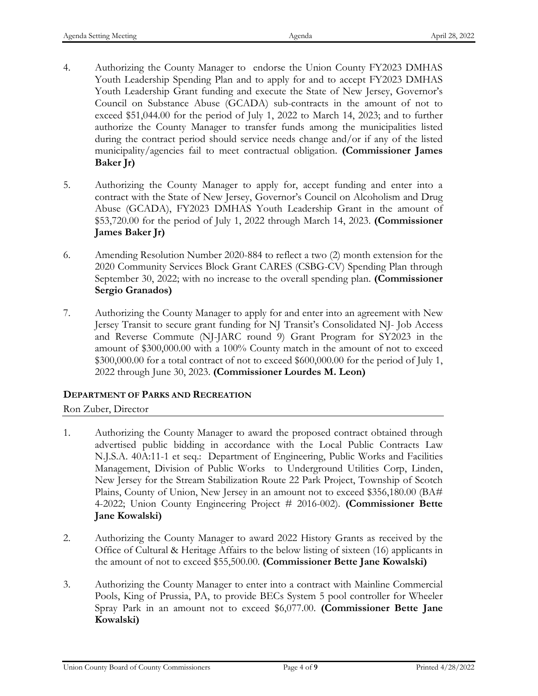- 4. Authorizing the County Manager to endorse the Union County FY2023 DMHAS Youth Leadership Spending Plan and to apply for and to accept FY2023 DMHAS Youth Leadership Grant funding and execute the State of New Jersey, Governor's Council on Substance Abuse (GCADA) sub-contracts in the amount of not to exceed \$51,044.00 for the period of July 1, 2022 to March 14, 2023; and to further authorize the County Manager to transfer funds among the municipalities listed during the contract period should service needs change and/or if any of the listed municipality/agencies fail to meet contractual obligation. **(Commissioner James Baker Jr)**
- 5. Authorizing the County Manager to apply for, accept funding and enter into a contract with the State of New Jersey, Governor's Council on Alcoholism and Drug Abuse (GCADA), FY2023 DMHAS Youth Leadership Grant in the amount of \$53,720.00 for the period of July 1, 2022 through March 14, 2023. **(Commissioner James Baker Jr)**
- 6. Amending Resolution Number 2020-884 to reflect a two (2) month extension for the 2020 Community Services Block Grant CARES (CSBG-CV) Spending Plan through September 30, 2022; with no increase to the overall spending plan. **(Commissioner Sergio Granados)**
- 7. Authorizing the County Manager to apply for and enter into an agreement with New Jersey Transit to secure grant funding for NJ Transit's Consolidated NJ- Job Access and Reverse Commute (NJ-JARC round 9) Grant Program for SY2023 in the amount of \$300,000.00 with a 100% County match in the amount of not to exceed \$300,000.00 for a total contract of not to exceed \$600,000.00 for the period of July 1, 2022 through June 30, 2023. **(Commissioner Lourdes M. Leon)**

## **DEPARTMENT OF PARKS AND RECREATION**

Ron Zuber, Director

- 1. Authorizing the County Manager to award the proposed contract obtained through advertised public bidding in accordance with the Local Public Contracts Law N.J.S.A. 40A:11-1 et seq.: Department of Engineering, Public Works and Facilities Management, Division of Public Works to Underground Utilities Corp, Linden, New Jersey for the Stream Stabilization Route 22 Park Project, Township of Scotch Plains, County of Union, New Jersey in an amount not to exceed \$356,180.00 (BA# 4-2022; Union County Engineering Project # 2016-002). **(Commissioner Bette Jane Kowalski)**
- 2. Authorizing the County Manager to award 2022 History Grants as received by the Office of Cultural & Heritage Affairs to the below listing of sixteen (16) applicants in the amount of not to exceed \$55,500.00. **(Commissioner Bette Jane Kowalski)**
- 3. Authorizing the County Manager to enter into a contract with Mainline Commercial Pools, King of Prussia, PA, to provide BECs System 5 pool controller for Wheeler Spray Park in an amount not to exceed \$6,077.00. **(Commissioner Bette Jane Kowalski)**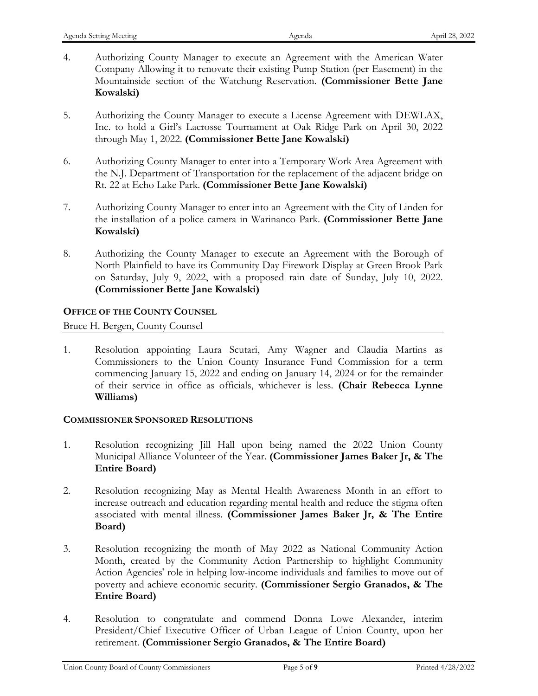- 4. Authorizing County Manager to execute an Agreement with the American Water Company Allowing it to renovate their existing Pump Station (per Easement) in the Mountainside section of the Watchung Reservation. **(Commissioner Bette Jane Kowalski)**
- 5. Authorizing the County Manager to execute a License Agreement with DEWLAX, Inc. to hold a Girl's Lacrosse Tournament at Oak Ridge Park on April 30, 2022 through May 1, 2022. **(Commissioner Bette Jane Kowalski)**
- 6. Authorizing County Manager to enter into a Temporary Work Area Agreement with the N.J. Department of Transportation for the replacement of the adjacent bridge on Rt. 22 at Echo Lake Park. **(Commissioner Bette Jane Kowalski)**
- 7. Authorizing County Manager to enter into an Agreement with the City of Linden for the installation of a police camera in Warinanco Park. **(Commissioner Bette Jane Kowalski)**
- 8. Authorizing the County Manager to execute an Agreement with the Borough of North Plainfield to have its Community Day Firework Display at Green Brook Park on Saturday, July 9, 2022, with a proposed rain date of Sunday, July 10, 2022. **(Commissioner Bette Jane Kowalski)**

## **OFFICE OF THE COUNTY COUNSEL**

Bruce H. Bergen, County Counsel

1. Resolution appointing Laura Scutari, Amy Wagner and Claudia Martins as Commissioners to the Union County Insurance Fund Commission for a term commencing January 15, 2022 and ending on January 14, 2024 or for the remainder of their service in office as officials, whichever is less. **(Chair Rebecca Lynne Williams)**

## **COMMISSIONER SPONSORED RESOLUTIONS**

- 1. Resolution recognizing Jill Hall upon being named the 2022 Union County Municipal Alliance Volunteer of the Year. **(Commissioner James Baker Jr, & The Entire Board)**
- 2. Resolution recognizing May as Mental Health Awareness Month in an effort to increase outreach and education regarding mental health and reduce the stigma often associated with mental illness. **(Commissioner James Baker Jr, & The Entire Board)**
- 3. Resolution recognizing the month of May 2022 as National Community Action Month, created by the Community Action Partnership to highlight Community Action Agencies' role in helping low-income individuals and families to move out of poverty and achieve economic security. **(Commissioner Sergio Granados, & The Entire Board)**
- 4. Resolution to congratulate and commend Donna Lowe Alexander, interim President/Chief Executive Officer of Urban League of Union County, upon her retirement. **(Commissioner Sergio Granados, & The Entire Board)**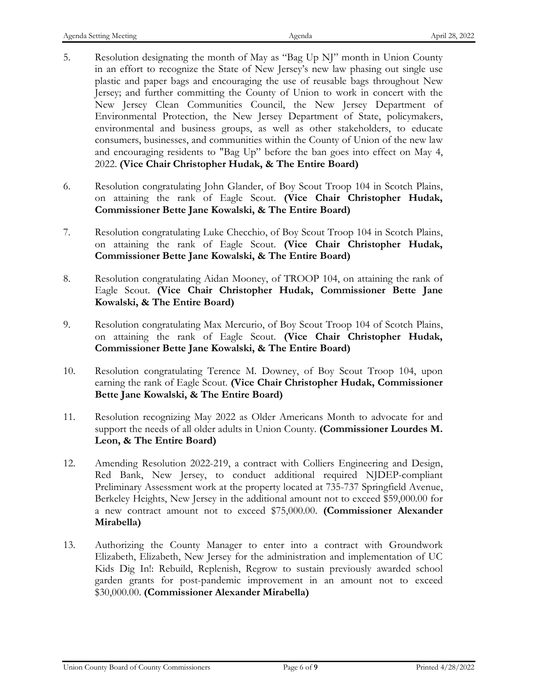- 5. Resolution designating the month of May as "Bag Up NJ" month in Union County in an effort to recognize the State of New Jersey's new law phasing out single use plastic and paper bags and encouraging the use of reusable bags throughout New Jersey; and further committing the County of Union to work in concert with the New Jersey Clean Communities Council, the New Jersey Department of Environmental Protection, the New Jersey Department of State, policymakers, environmental and business groups, as well as other stakeholders, to educate consumers, businesses, and communities within the County of Union of the new law and encouraging residents to "Bag Up" before the ban goes into effect on May 4, 2022. **(Vice Chair Christopher Hudak, & The Entire Board)**
- 6. Resolution congratulating John Glander, of Boy Scout Troop 104 in Scotch Plains, on attaining the rank of Eagle Scout. **(Vice Chair Christopher Hudak, Commissioner Bette Jane Kowalski, & The Entire Board)**
- 7. Resolution congratulating Luke Checchio, of Boy Scout Troop 104 in Scotch Plains, on attaining the rank of Eagle Scout. **(Vice Chair Christopher Hudak, Commissioner Bette Jane Kowalski, & The Entire Board)**
- 8. Resolution congratulating Aidan Mooney, of TROOP 104, on attaining the rank of Eagle Scout. **(Vice Chair Christopher Hudak, Commissioner Bette Jane Kowalski, & The Entire Board)**
- 9. Resolution congratulating Max Mercurio, of Boy Scout Troop 104 of Scotch Plains, on attaining the rank of Eagle Scout. **(Vice Chair Christopher Hudak, Commissioner Bette Jane Kowalski, & The Entire Board)**
- 10. Resolution congratulating Terence M. Downey, of Boy Scout Troop 104, upon earning the rank of Eagle Scout. **(Vice Chair Christopher Hudak, Commissioner Bette Jane Kowalski, & The Entire Board)**
- 11. Resolution recognizing May 2022 as Older Americans Month to advocate for and support the needs of all older adults in Union County. **(Commissioner Lourdes M. Leon, & The Entire Board)**
- 12. Amending Resolution 2022-219, a contract with Colliers Engineering and Design, Red Bank, New Jersey, to conduct additional required NJDEP-compliant Preliminary Assessment work at the property located at 735-737 Springfield Avenue, Berkeley Heights, New Jersey in the additional amount not to exceed \$59,000.00 for a new contract amount not to exceed \$75,000.00. **(Commissioner Alexander Mirabella)**
- 13. Authorizing the County Manager to enter into a contract with Groundwork Elizabeth, Elizabeth, New Jersey for the administration and implementation of UC Kids Dig In!: Rebuild, Replenish, Regrow to sustain previously awarded school garden grants for post-pandemic improvement in an amount not to exceed \$30,000.00. **(Commissioner Alexander Mirabella)**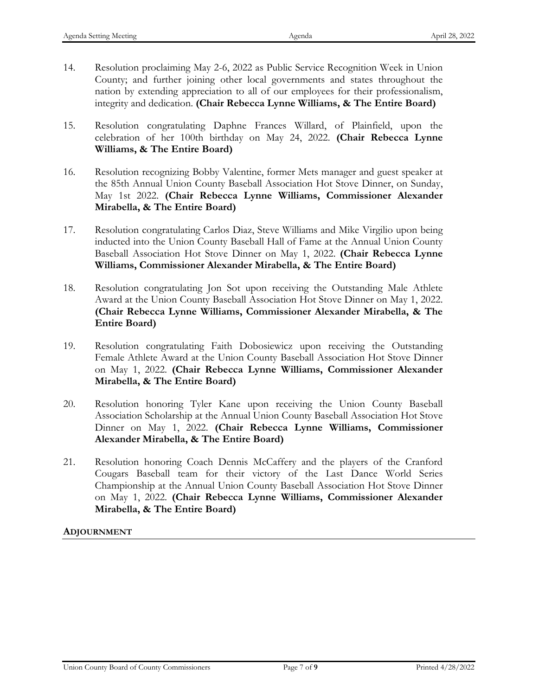- 14. Resolution proclaiming May 2-6, 2022 as Public Service Recognition Week in Union County; and further joining other local governments and states throughout the nation by extending appreciation to all of our employees for their professionalism, integrity and dedication. **(Chair Rebecca Lynne Williams, & The Entire Board)**
- 15. Resolution congratulating Daphne Frances Willard, of Plainfield, upon the celebration of her 100th birthday on May 24, 2022. **(Chair Rebecca Lynne Williams, & The Entire Board)**
- 16. Resolution recognizing Bobby Valentine, former Mets manager and guest speaker at the 85th Annual Union County Baseball Association Hot Stove Dinner, on Sunday, May 1st 2022. **(Chair Rebecca Lynne Williams, Commissioner Alexander Mirabella, & The Entire Board)**
- 17. Resolution congratulating Carlos Diaz, Steve Williams and Mike Virgilio upon being inducted into the Union County Baseball Hall of Fame at the Annual Union County Baseball Association Hot Stove Dinner on May 1, 2022. **(Chair Rebecca Lynne Williams, Commissioner Alexander Mirabella, & The Entire Board)**
- 18. Resolution congratulating Jon Sot upon receiving the Outstanding Male Athlete Award at the Union County Baseball Association Hot Stove Dinner on May 1, 2022. **(Chair Rebecca Lynne Williams, Commissioner Alexander Mirabella, & The Entire Board)**
- 19. Resolution congratulating Faith Dobosiewicz upon receiving the Outstanding Female Athlete Award at the Union County Baseball Association Hot Stove Dinner on May 1, 2022. **(Chair Rebecca Lynne Williams, Commissioner Alexander Mirabella, & The Entire Board)**
- 20. Resolution honoring Tyler Kane upon receiving the Union County Baseball Association Scholarship at the Annual Union County Baseball Association Hot Stove Dinner on May 1, 2022. **(Chair Rebecca Lynne Williams, Commissioner Alexander Mirabella, & The Entire Board)**
- 21. Resolution honoring Coach Dennis McCaffery and the players of the Cranford Cougars Baseball team for their victory of the Last Dance World Series Championship at the Annual Union County Baseball Association Hot Stove Dinner on May 1, 2022. **(Chair Rebecca Lynne Williams, Commissioner Alexander Mirabella, & The Entire Board)**

## **ADJOURNMENT**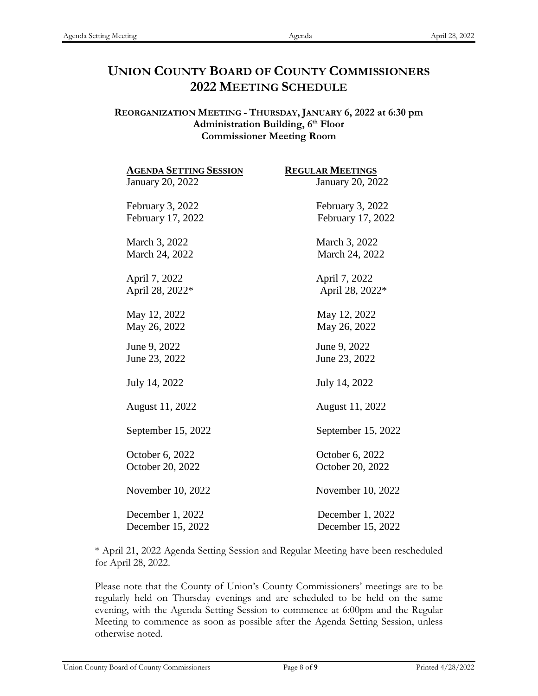## **UNION COUNTY BOARD OF COUNTY COMMISSIONERS 2022 MEETING SCHEDULE**

#### **REORGANIZATION MEETING - THURSDAY, JANUARY 6, 2022 at 6:30 pm** Administration Building, 6<sup>th</sup> Floor **Commissioner Meeting Room**

| <b>AGENDA SETTING SESSION</b> | <b>REGULAR MEETINGS</b> |
|-------------------------------|-------------------------|
| January 20, 2022              | January 20, 2022        |
| February 3, 2022              | February 3, 2022        |
| February 17, 2022             | February 17, 2022       |
| March 3, 2022                 | March 3, 2022           |
| March 24, 2022                | March 24, 2022          |
| April 7, 2022                 | April 7, 2022           |
| April 28, 2022*               | April 28, 2022*         |
| May 12, 2022                  | May 12, 2022            |
| May 26, 2022                  | May 26, 2022            |
| June 9, 2022                  | June 9, 2022            |
| June 23, 2022                 | June 23, 2022           |
| July 14, 2022                 | July 14, 2022           |
| August 11, 2022               | August 11, 2022         |
| September 15, 2022            | September 15, 2022      |
| October 6, 2022               | October 6, 2022         |
| October 20, 2022              | October 20, 2022        |
| November 10, 2022             | November 10, 2022       |
| December 1, 2022              | December 1, 2022        |
| December 15, 2022             | December 15, 2022       |

\* April 21, 2022 Agenda Setting Session and Regular Meeting have been rescheduled for April 28, 2022.

Please note that the County of Union's County Commissioners' meetings are to be regularly held on Thursday evenings and are scheduled to be held on the same evening, with the Agenda Setting Session to commence at 6:00pm and the Regular Meeting to commence as soon as possible after the Agenda Setting Session, unless otherwise noted.